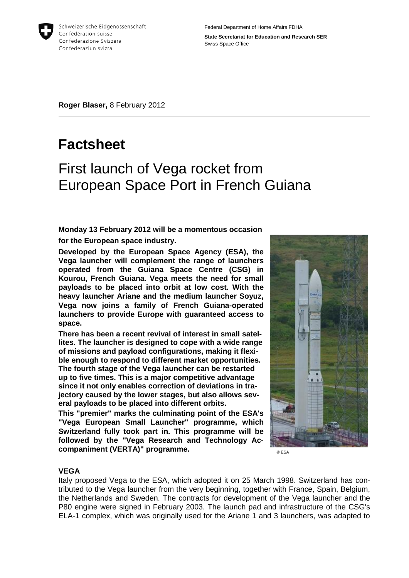

Federal Department of Home Affairs FDHA

**State Secretariat for Education and Research SER** Swiss Space Office

**Roger Blaser,** 8 February 2012

# **Factsheet**

## First launch of Vega rocket from European Space Port in French Guiana

**Monday 13 February 2012 will be a momentous occasion for the European space industry.**

**Developed by the European Space Agency (ESA), the Vega launcher will complement the range of launchers operated from the Guiana Space Centre (CSG) in Kourou, French Guiana. Vega meets the need for small payloads to be placed into orbit at low cost. With the heavy launcher Ariane and the medium launcher Soyuz, Vega now joins a family of French Guiana-operated launchers to provide Europe with guaranteed access to space.** 

**There has been a recent revival of interest in small satellites. The launcher is designed to cope with a wide range of missions and payload configurations, making it flexible enough to respond to different market opportunities. The fourth stage of the Vega launcher can be restarted up to five times. This is a major competitive advantage since it not only enables correction of deviations in trajectory caused by the lower stages, but also allows several payloads to be placed into different orbits.**

**This "premier" marks the culminating point of the ESA's "Vega European Small Launcher" programme, which Switzerland fully took part in. This programme will be followed by the "Vega Research and Technology Accompaniment (VERTA)" programme.**



© ESA

#### **VEGA**

Italy proposed Vega to the ESA, which adopted it on 25 March 1998. Switzerland has contributed to the Vega launcher from the very beginning, together with France, Spain, Belgium, the Netherlands and Sweden. The contracts for development of the Vega launcher and the P80 engine were signed in February 2003. The launch pad and infrastructure of the CSG's ELA-1 complex, which was originally used for the Ariane 1 and 3 launchers, was adapted to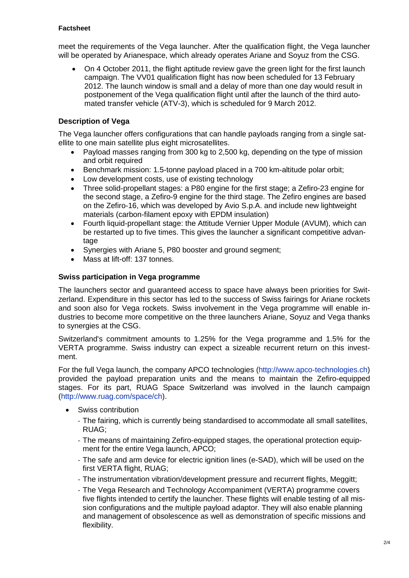#### **Factsheet**

meet the requirements of the Vega launcher. After the qualification flight, the Vega launcher will be operated by Arianespace, which already operates Ariane and Soyuz from the CSG.

 On 4 October 2011, the flight aptitude review gave the green light for the first launch campaign. The VV01 qualification flight has now been scheduled for 13 February 2012. The launch window is small and a delay of more than one day would result in postponement of the Vega qualification flight until after the launch of the third automated transfer vehicle (ATV-3), which is scheduled for 9 March 2012.

## **Description of Vega**

The Vega launcher offers configurations that can handle payloads ranging from a single satellite to one main satellite plus eight microsatellites.

- Payload masses ranging from 300 kg to 2,500 kg, depending on the type of mission and orbit required
- Benchmark mission: 1.5-tonne payload placed in a 700 km-altitude polar orbit;
- Low development costs, use of existing technology
- Three solid-propellant stages: a P80 engine for the first stage; a Zefiro-23 engine for the second stage, a Zefiro-9 engine for the third stage. The Zefiro engines are based on the Zefiro-16, which was developed by Avio S.p.A. and include new lightweight materials (carbon-filament epoxy with EPDM insulation)
- Fourth liquid-propellant stage: the Attitude Vernier Upper Module (AVUM), which can be restarted up to five times. This gives the launcher a significant competitive advantage
- Synergies with Ariane 5, P80 booster and ground segment;
- Mass at lift-off: 137 tonnes.

#### **Swiss participation in Vega programme**

The launchers sector and guaranteed access to space have always been priorities for Switzerland. Expenditure in this sector has led to the success of Swiss fairings for Ariane rockets and soon also for Vega rockets. Swiss involvement in the Vega programme will enable industries to become more competitive on the three launchers Ariane, Soyuz and Vega thanks to synergies at the CSG.

Switzerland's commitment amounts to 1.25% for the Vega programme and 1.5% for the VERTA programme. Swiss industry can expect a sizeable recurrent return on this investment.

For the full Vega launch, the company APCO technologies [\(http://www.apco-technologies.ch\)](http://www.apco-technologies.ch/) provided the payload preparation units and the means to maintain the Zefiro-equipped stages. For its part, RUAG Space Switzerland was involved in the launch campaign [\(http://www.ruag.com/space/ch\)](http://www.ruag.com/space/ch).

- Swiss contribution
	- The fairing, which is currently being standardised to accommodate all small satellites, RUAG;
	- The means of maintaining Zefiro-equipped stages, the operational protection equipment for the entire Vega launch, APCO;
	- The safe and arm device for electric ignition lines (e-SAD), which will be used on the first VERTA flight, RUAG;
	- The instrumentation vibration/development pressure and recurrent flights, Meggitt;
	- The Vega Research and Technology Accompaniment (VERTA) programme covers five flights intended to certify the launcher. These flights will enable testing of all mission configurations and the multiple payload adaptor. They will also enable planning and management of obsolescence as well as demonstration of specific missions and flexibility.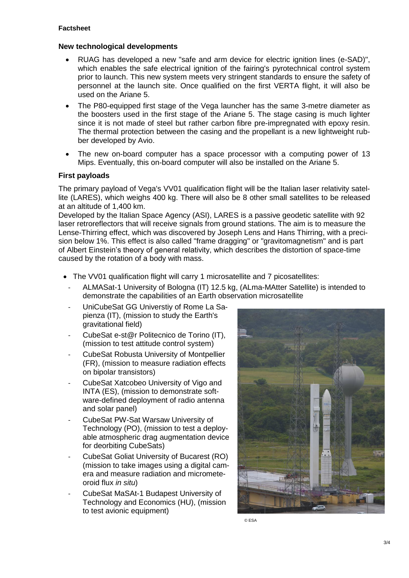## **New technological developments**

- RUAG has developed a new "safe and arm device for electric ignition lines (e-SAD)", which enables the safe electrical ignition of the fairing's pyrotechnical control system prior to launch. This new system meets very stringent standards to ensure the safety of personnel at the launch site. Once qualified on the first VERTA flight, it will also be used on the Ariane 5.
- The P80-equipped first stage of the Vega launcher has the same 3-metre diameter as the boosters used in the first stage of the Ariane 5. The stage casing is much lighter since it is not made of steel but rather carbon fibre pre-impregnated with epoxy resin. The thermal protection between the casing and the propellant is a new lightweight rubber developed by Avio.
- The new on-board computer has a space processor with a computing power of 13 Mips. Eventually, this on-board computer will also be installed on the Ariane 5.

## **First payloads**

The primary payload of Vega's VV01 qualification flight will be the Italian laser relativity satellite (LARES), which weighs 400 kg. There will also be 8 other small satellites to be released at an altitude of 1,400 km.

Developed by the Italian Space Agency (ASI), LARES is a passive geodetic satellite with 92 laser retroreflectors that will receive signals from ground stations. The aim is to measure the Lense-Thirring effect, which was discovered by Joseph Lens and Hans Thirring, with a precision below 1%. This effect is also called "frame dragging" or "gravitomagnetism" and is part of Albert Einstein's theory of general relativity, which describes the distortion of space-time caused by the rotation of a body with mass.

- The VV01 qualification flight will carry 1 microsatellite and 7 picosatellites:
	- ALMASat-1 University of Bologna (IT) 12.5 kg, (ALma-MAtter Satellite) is intended to demonstrate the capabilities of an Earth observation microsatellite
	- UniCubeSat GG Universtiy of Rome La Sapienza (IT), (mission to study the Earth's gravitational field)
	- CubeSat e-st@r Politecnico de Torino (IT), (mission to test attitude control system)
	- CubeSat Robusta University of Montpellier (FR), (mission to measure radiation effects on bipolar transistors)
	- CubeSat Xatcobeo University of Vigo and INTA (ES), (mission to demonstrate software-defined deployment of radio antenna and solar panel)
	- CubeSat PW-Sat Warsaw University of Technology (PO), (mission to test a deployable atmospheric drag augmentation device for deorbiting CubeSats)
	- CubeSat Goliat University of Bucarest (RO) (mission to take images using a digital camera and measure radiation and micrometeoroid flux *in situ*)
	- CubeSat MaSAt-1 Budapest University of Technology and Economics (HU), (mission to test avionic equipment)



© ESA